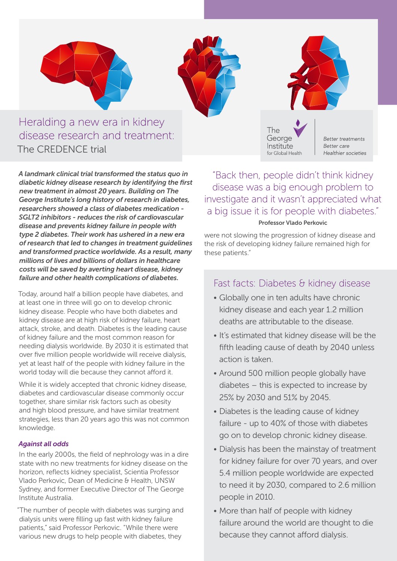

## Heralding a new era in kidney disease research and treatment: The CREDENCE trial

*A landmark clinical trial transformed the status quo in diabetic kidney disease research by identifying the first new treatment in almost 20 years. Building on The George Institute's long history of research in diabetes, researchers showed a class of diabetes medication - SGLT2 inhibitors - reduces the risk of cardiovascular disease and prevents kidney failure in people with type 2 diabetes. Their work has ushered in a new era of research that led to changes in treatment guidelines and transformed practice worldwide. As a result, many millions of lives and billions of dollars in healthcare costs will be saved by averting heart disease, kidney failure and other health complications of diabetes.* 

Today, around half a billion people have diabetes, and at least one in three will go on to develop chronic kidney disease. People who have both diabetes and kidney disease are at high risk of kidney failure, heart attack, stroke, and death. Diabetes is the leading cause of kidney failure and the most common reason for needing dialysis worldwide. By 2030 it is estimated that over five million people worldwide will receive dialysis, yet at least half of the people with kidney failure in the world today will die because they cannot afford it.

While it is widely accepted that chronic kidney disease. diabetes and cardiovascular disease commonly occur together, share similar risk factors such as obesity and high blood pressure, and have similar treatment strategies, less than 20 years ago this was not common knowledge.

#### *Against all odds*

In the early 2000s, the field of nephrology was in a dire state with no new treatments for kidney disease on the horizon, reflects kidney specialist, Scientia Professor Vlado Perkovic, Dean of Medicine & Health, UNSW Sydney, and former Executive Director of The George Institute Australia.

"The number of people with diabetes was surging and dialysis units were filling up fast with kidney failure patients," said Professor Perkovic. "While there were various new drugs to help people with diabetes, they

"Back then, people didn't think kidney disease was a big enough problem to investigate and it wasn't appreciated what a big issue it is for people with diabetes." Professor Vlado Perkovic

were not slowing the progression of kidney disease and the risk of developing kidney failure remained high for these patients."

## Fast facts: Diabetes & kidney disease

- Globally one in ten adults have chronic kidney disease and each year 1.2 million deaths are attributable to the disease.
- It's estimated that kidney disease will be the fifth leading cause of death by 2040 unless action is taken.
- Around 500 million people globally have diabetes – this is expected to increase by 25% by 2030 and 51% by 2045.
- Diabetes is the leading cause of kidney failure - up to 40% of those with diabetes go on to develop chronic kidney disease.
- Dialysis has been the mainstay of treatment for kidney failure for over 70 years, and over 5.4 million people worldwide are expected to need it by 2030, compared to 2.6 million people in 2010.
- More than half of people with kidney failure around the world are thought to die because they cannot afford dialysis.





Better treatments **Better care** Healthier societies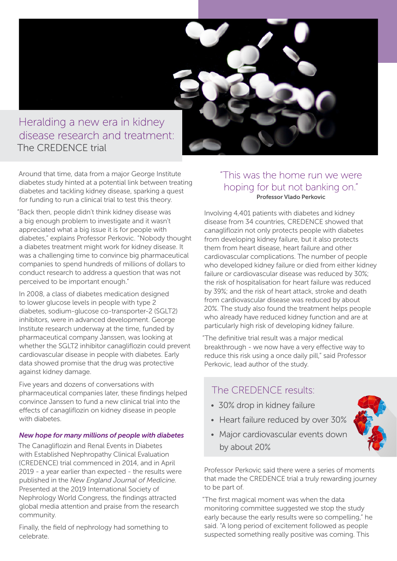# Heralding a new era in kidney disease research and treatment: The CREDENCE trial

Around that time, data from a major George Institute diabetes study hinted at a potential link between treating diabetes and tackling kidney disease, sparking a quest for funding to run a clinical trial to test this theory.

"Back then, people didn't think kidney disease was a big enough problem to investigate and it wasn't appreciated what a big issue it is for people with diabetes," explains Professor Perkovic. "Nobody thought a diabetes treatment might work for kidney disease. It was a challenging time to convince big pharmaceutical companies to spend hundreds of millions of dollars to conduct research to address a question that was not perceived to be important enough."

In 2008, a class of diabetes medication designed to lower glucose levels in people with type 2 diabetes, sodium-glucose co-transporter-2 (SGLT2) inhibitors, were in advanced development. George Institute research underway at the time, funded by pharmaceutical company Janssen, was looking at whether the SGLT2 inhibitor canagliflozin could prevent cardiovascular disease in people with diabetes. Early data showed promise that the drug was protective against kidney damage.

Five years and dozens of conversations with pharmaceutical companies later, these findings helped convince Janssen to fund a new clinical trial into the effects of canagliflozin on kidney disease in people with diabetes.

#### *New hope for many millions of people with diabetes*

The Canagliflozin and Renal Events in Diabetes with Established Nephropathy Clinical Evaluation (CREDENCE) trial commenced in 2014, and in April 2019 - a year earlier than expected - the results were published in the *New England Journal of Medicine.*  Presented at the 2019 International Society of Nephrology World Congress, the findings attracted global media attention and praise from the research community.

Finally, the field of nephrology had something to celebrate.

### "This was the home run we were hoping for but not banking on." Professor Vlado Perkovic

Involving 4,401 patients with diabetes and kidney disease from 34 countries, CREDENCE showed that canagliflozin not only protects people with diabetes from developing kidney failure, but it also protects them from heart disease, heart failure and other cardiovascular complications. The number of people who developed kidney failure or died from either kidney failure or cardiovascular disease was reduced by 30%; the risk of hospitalisation for heart failure was reduced by 39%; and the risk of heart attack, stroke and death from cardiovascular disease was reduced by about 20%. The study also found the treatment helps people who already have reduced kidney function and are at particularly high risk of developing kidney failure.

"The definitive trial result was a major medical breakthrough - we now have a very effective way to reduce this risk using a once daily pill," said Professor Perkovic, lead author of the study.

## The CREDENCE results:

- 30% drop in kidney failure
- Heart failure reduced by over 30%
- Major cardiovascular events down by about 20%

Professor Perkovic said there were a series of moments that made the CREDENCE trial a truly rewarding journey to be part of.

"The first magical moment was when the data monitoring committee suggested we stop the study early because the early results were so compelling," he said. "A long period of excitement followed as people suspected something really positive was coming. This

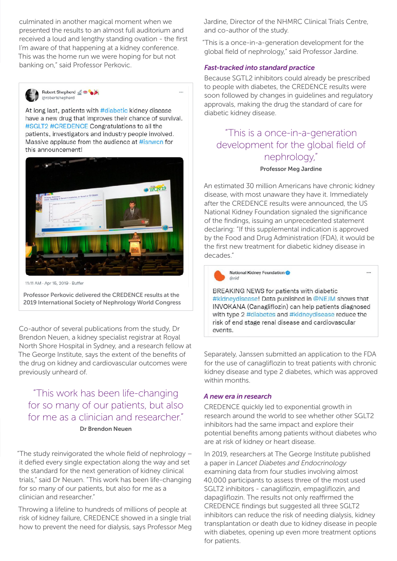culminated in another magical moment when we presented the results to an almost full auditorium and received a loud and lengthy standing ovation - the first I'm aware of that happening at a kidney conference. This was the home run we were hoping for but not banking on," said Professor Perkovic.



Robert Shepherd of the @robertshepherd

At long last, patients with #diabetic kidney disease have a new drug that improves their chance of survival. #SGLT2 #CREDENCE Congratulations to all the patients, investigators and industry people involved. Massive applause from the audience at #isnwcn for this announcement!



11:11 AM - Apr 15, 2019 - Ruffer

Professor Perkovic delivered the CREDENCE results at the 2019 International Society of Nephrology World Congress

Co-author of several publications from the study, Dr Brendon Neuen, a kidney specialist registrar at Royal North Shore Hospital in Sydney, and a research fellow at The George Institute, says the extent of the benefits of the drug on kidney and cardiovascular outcomes were previously unheard of.

"This work has been life-changing for so many of our patients, but also for me as a clinician and researcher." Dr Brendon Neuen

"The study reinvigorated the whole field of nephrology – it defied every single expectation along the way and set the standard for the next generation of kidney clinical trials," said Dr Neuen. "This work has been life-changing for so many of our patients, but also for me as a clinician and researcher."

Throwing a lifeline to hundreds of millions of people at risk of kidney failure, CREDENCE showed in a single trial how to prevent the need for dialysis, says Professor Meg Jardine, Director of the NHMRC Clinical Trials Centre, and co-author of the study.

"This is a once-in-a-generation development for the global field of nephrology," said Professor Jardine.

#### *Fast-tracked into standard practice*

Because SGTL2 inhibitors could already be prescribed to people with diabetes, the CREDENCE results were soon followed by changes in guidelines and regulatory approvals, making the drug the standard of care for diabetic kidney disease.

## "This is a once-in-a-generation development for the global field of nephrology,"

#### Professor Meg Jardine

An estimated 30 million Americans have chronic kidney disease, with most unaware they have it. Immediately after the CREDENCE results were announced, the US National Kidney Foundation signaled the significance of the findings, issuing an unprecedented statement declaring: "If this supplemental indication is approved by the Food and Drug Administration (FDA), it would be the first new treatment for diabetic kidney disease in decades."



#### National Kidney Foundation  $\bigcap_{n\in\mathbb{N}}$

BREAKING NEWS for patients with diabetic #kidneydisease! Data published in @NEJM shows that INVOKANA (Canagliflozin) can help patients diagnosed with type 2 #diabetes and #kidneydisease reduce the risk of end stage renal disease and cardiovascular events

 $\mathbf{r}$ 

Separately, Janssen submitted an application to the FDA for the use of canagliflozin to treat patients with chronic kidney disease and type 2 diabetes, which was approved within months

#### *A new era in research*

CREDENCE quickly led to exponential growth in research around the world to see whether other SGLT2 inhibitors had the same impact and explore their potential benefits among patients without diabetes who are at risk of kidney or heart disease.

In 2019, researchers at The George Institute published a paper in *Lancet Diabetes and Endocrinology* examining data from four studies involving almost 40,000 participants to assess three of the most used SGLT2 inhibitors - canagliflozin, empagliflozin, and dapagliflozin. The results not only reaffirmed the CREDENCE findings but suggested all three SGLT2 inhibitors can reduce the risk of needing dialysis, kidney transplantation or death due to kidney disease in people with diabetes, opening up even more treatment options for patients.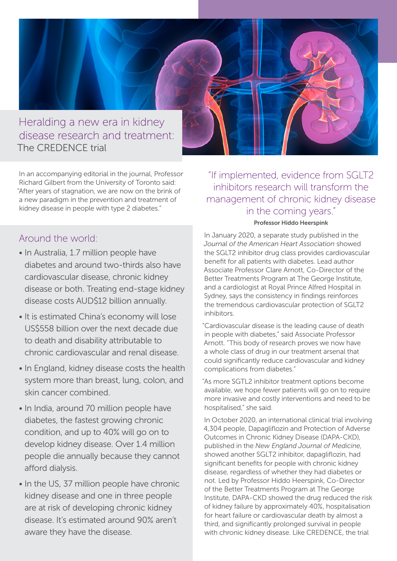

In an accompanying editorial in the journal, Professor Richard Gilbert from the University of Toronto said: "After years of stagnation, we are now on the brink of a new paradigm in the prevention and treatment of kidney disease in people with type 2 diabetes."

## Around the world:

- In Australia, 1.7 million people have diabetes and around two-thirds also have cardiovascular disease, chronic kidney disease or both. Treating end-stage kidney disease costs AUD\$12 billion annually.
- It is estimated China's economy will lose US\$558 billion over the next decade due to death and disability attributable to chronic cardiovascular and renal disease.
- In England, kidney disease costs the health system more than breast, lung, colon, and skin cancer combined.
- In India, around 70 million people have diabetes, the fastest growing chronic condition, and up to 40% will go on to develop kidney disease. Over 1.4 million people die annually because they cannot afford dialysis.
- In the US, 37 million people have chronic kidney disease and one in three people are at risk of developing chronic kidney disease. It's estimated around 90% aren't aware they have the disease.

"If implemented, evidence from SGLT2 inhibitors research will transform the management of chronic kidney disease in the coming years."

#### Professor Hiddo Heerspink

In January 2020, a separate study published in the *Journal of the American Heart Association* showed the SGLT2 inhibitor drug class provides cardiovascular benefit for all patients with diabetes. Lead author Associate Professor Clare Arnott, Co-Director of the Better Treatments Program at The George Institute, and a cardiologist at Royal Prince Alfred Hospital in Sydney, says the consistency in findings reinforces the tremendous cardiovascular protection of SGLT2 inhibitors.

"Cardiovascular disease is the leading cause of death in people with diabetes," said Associate Professor Arnott. "This body of research proves we now have a whole class of drug in our treatment arsenal that could significantly reduce cardiovascular and kidney complications from diabetes."

"As more SGTL2 inhibitor treatment options become available, we hope fewer patients will go on to require more invasive and costly interventions and need to be hospitalised," she said.

In October 2020, an international clinical trial involving 4,304 people, Dapagliflozin and Protection of Adverse Outcomes in Chronic Kidney Disease (DAPA-CKD), published in the *New England Journal of Medicine*, showed another SGLT2 inhibitor, dapagliflozin, had significant benefits for people with chronic kidney disease, regardless of whether they had diabetes or not. Led by Professor Hiddo Heerspink, Co-Director of the Better Treatments Program at The George Institute, DAPA-CKD showed the drug reduced the risk of kidney failure by approximately 40%, hospitalisation for heart failure or cardiovascular death by almost a third, and significantly prolonged survival in people with chronic kidney disease. Like CREDENCE, the trial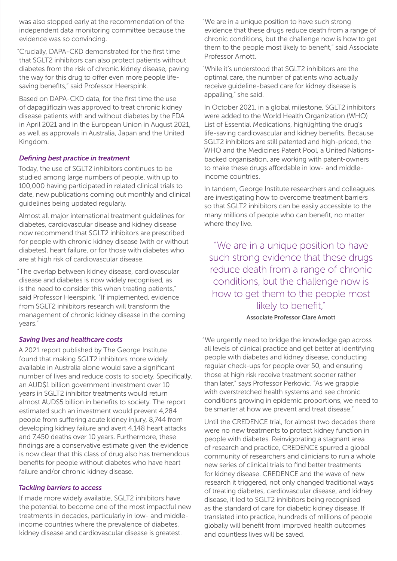was also stopped early at the recommendation of the independent data monitoring committee because the evidence was so convincing.

"Crucially, DAPA-CKD demonstrated for the first time that SGLT2 inhibitors can also protect patients without diabetes from the risk of chronic kidney disease, paving the way for this drug to offer even more people lifesaving benefits," said Professor Heerspink.

Based on DAPA-CKD data, for the first time the use of dapagliflozin was approved to treat chronic kidney disease patients with and without diabetes by the FDA in April 2021 and in the European Union in August 2021, as well as approvals in Australia, Japan and the United Kingdom.

#### *Defining best practice in treatment*

Today, the use of SGLT2 inhibitors continues to be studied among large numbers of people, with up to 100,000 having participated in related clinical trials to date, new publications coming out monthly and clinical guidelines being updated regularly.

Almost all major international treatment guidelines for diabetes, cardiovascular disease and kidney disease now recommend that SGLT2 inhibitors are prescribed for people with chronic kidney disease (with or without diabetes), heart failure, or for those with diabetes who are at high risk of cardiovascular disease.

"The overlap between kidney disease, cardiovascular disease and diabetes is now widely recognised, as is the need to consider this when treating patients," said Professor Heerspink. "If implemented, evidence from SGLT2 inhibitors research will transform the management of chronic kidney disease in the coming years."

#### *Saving lives and healthcare costs*

A 2021 report published by The George Institute found that making SGLT2 inhibitors more widely available in Australia alone would save a significant number of lives and reduce costs to society. Specifically, an AUD\$1 billion government investment over 10 years in SGLT2 inhibitor treatments would return almost AUD\$5 billion in benefits to society. The report estimated such an investment would prevent 4,284 people from suffering acute kidney injury, 8,744 from developing kidney failure and avert 4,148 heart attacks and 7,450 deaths over 10 years. Furthermore, these findings are a conservative estimate given the evidence is now clear that this class of drug also has tremendous benefits for people without diabetes who have heart failure and/or chronic kidney disease.

#### *Tackling barriers to access*

If made more widely available, SGLT2 inhibitors have the potential to become one of the most impactful new treatments in decades, particularly in low- and middleincome countries where the prevalence of diabetes, kidney disease and cardiovascular disease is greatest.

"We are in a unique position to have such strong evidence that these drugs reduce death from a range of chronic conditions, but the challenge now is how to get them to the people most likely to benefit," said Associate Professor Arnott.

"While it's understood that SGLT2 inhibitors are the optimal care, the number of patients who actually receive guideline-based care for kidney disease is appalling," she said.

In October 2021, in a global milestone, SGLT2 inhibitors were added to the World Health Organization (WHO) List of Essential Medications, highlighting the drug's life-saving cardiovascular and kidney benefits. Because SGLT2 inhibitors are still patented and high-priced, the WHO and the Medicines Patent Pool, a United Nationsbacked organisation, are working with patent-owners to make these drugs affordable in low- and middleincome countries.

In tandem, George Institute researchers and colleagues are investigating how to overcome treatment barriers so that SGLT2 inhibitors can be easily accessible to the many millions of people who can benefit, no matter where they live.

"We are in a unique position to have such strong evidence that these drugs reduce death from a range of chronic conditions, but the challenge now is how to get them to the people most likely to benefit,"

#### Associate Professor Clare Arnott

"We urgently need to bridge the knowledge gap across all levels of clinical practice and get better at identifying people with diabetes and kidney disease, conducting regular check-ups for people over 50, and ensuring those at high risk receive treatment sooner rather than later," says Professor Perkovic. "As we grapple with overstretched health systems and see chronic conditions growing in epidemic proportions, we need to be smarter at how we prevent and treat disease."

Until the CREDENCE trial, for almost two decades there were no new treatments to protect kidney function in people with diabetes. Reinvigorating a stagnant area of research and practice, CREDENCE spurred a global community of researchers and clinicians to run a whole new series of clinical trials to find better treatments for kidney disease. CREDENCE and the wave of new research it triggered, not only changed traditional ways of treating diabetes, cardiovascular disease, and kidney disease, it led to SGLT2 inhibitors being recognised as the standard of care for diabetic kidney disease. If translated into practice, hundreds of millions of people globally will benefit from improved health outcomes and countless lives will be saved.